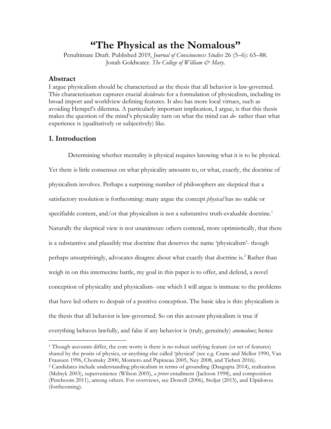# **"The Physical as the Nomalous"**

Penultimate Draft. Published 2019, *Journal of Consciousness Studies* 26 (5–6): 65–88. Jonah Goldwater. The College of William & Mary.

## **Abstract**

I argue physicalism should be characterized as the thesis that all behavior is law-governed. This characterization captures crucial *desiderata* for a formulation of physicalism, including its broad import and worldview defining features. It also has more local virtues, such as avoiding Hempel's dilemma. A particularly important implication, I argue, is that this thesis makes the question of the mind's physicality turn on what the mind can *do*- rather than what experience is (qualitatively or subjectively) like.

## **1. Introduction**

 $\overline{a}$ 

Determining whether mentality is physical requires knowing what it is to be physical. Yet there is little consensus on what physicality amounts to, or what, exactly, the doctrine of physicalism involves. Perhaps a surprising number of philosophers are skeptical that a satisfactory resolution is forthcoming: many argue the concept *physical* has no stable or specifiable content, and/or that physicalism is not a substantive truth-evaluable doctrine.<sup>1</sup> Naturally the skeptical view is not unanimous: others contend, more optimistically, that there is a substantive and plausibly true doctrine that deserves the name 'physicalism'- though perhaps unsurprisingly, advocates disagree about what exactly that doctrine is.<sup>2</sup> Rather than weigh in on this internecine battle, my goal in this paper is to offer, and defend, a novel conception of physicality and physicalism- one which I will argue is immune to the problems that have led others to despair of a positive conception. The basic idea is this: physicalism is the thesis that all behavior is law-governed. So on this account physicalism is true if everything behaves lawfully, and false if any behavior is (truly, genuinely) *anomalous*; hence

<sup>1</sup> Though accounts differ, the core worry is there is no robust unifying feature (or set of features) shared by the posits of physics, or anything else called 'physical' (see e.g. Crane and Mellor 1990, Van Fraassen 1996, Chomsky 2000, Montero and Papineau 2005, Ney 2008, and Tiehen 2016). <sup>2</sup> Candidates include understanding physicalism in terms of grounding (Dasgupta 2014), realization (Melnyk 2003), supervenience (Wilson 2005), *a priori* entailment (Jackson 1998), and composition (Pereboom 2011), among others. For overviews, see Dowell (2006), Stoljar (2015), and Elpidorou (forthcoming).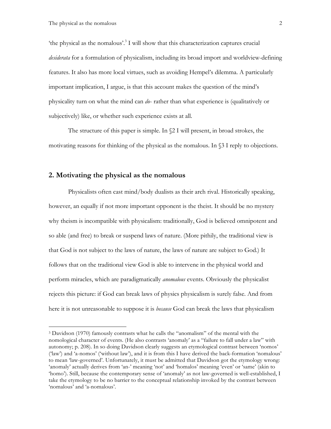'the physical as the nomalous'.3 I will show that this characterization captures crucial *desiderata* for a formulation of physicalism, including its broad import and worldview-defining features. It also has more local virtues, such as avoiding Hempel's dilemma. A particularly important implication, I argue, is that this account makes the question of the mind's physicality turn on what the mind can *do*- rather than what experience is (qualitatively or subjectively) like, or whether such experience exists at all.

The structure of this paper is simple. In §2 I will present, in broad strokes, the motivating reasons for thinking of the physical as the nomalous. In §3 I reply to objections.

# **2. Motivating the physical as the nomalous**

Physicalists often cast mind/body dualists as their arch rival. Historically speaking, however, an equally if not more important opponent is the theist. It should be no mystery why theism is incompatible with physicalism: traditionally, God is believed omnipotent and so able (and free) to break or suspend laws of nature. (More pithily, the traditional view is that God is not subject to the laws of nature, the laws of nature are subject to God.) It follows that on the traditional view God is able to intervene in the physical world and perform miracles, which are paradigmatically *anomalous* events. Obviously the physicalist rejects this picture: if God can break laws of physics physicalism is surely false. And from here it is not unreasonable to suppose it is *because* God can break the laws that physicalism

<sup>3</sup> Davidson (1970) famously contrasts what he calls the "anomalism" of the mental with the nomological character of events. (He also contrasts 'anomaly' as a "failure to fall under a law" with autonomy; p. 208). In so doing Davidson clearly suggests an etymological contrast between 'nomos' ('law') and 'a-nomos' ('without law'), and it is from this I have derived the back-formation 'nomalous' to mean 'law-governed'. Unfortunately, it must be admitted that Davidson got the etymology wrong: 'anomaly' actually derives from 'an-' meaning 'not' and 'homalos' meaning 'even' or 'same' (akin to 'homo'). Still, because the contemporary sense of 'anomaly' as not law-governed is well-established, I take the etymology to be no barrier to the conceptual relationship invoked by the contrast between 'nomalous' and 'a-nomalous'.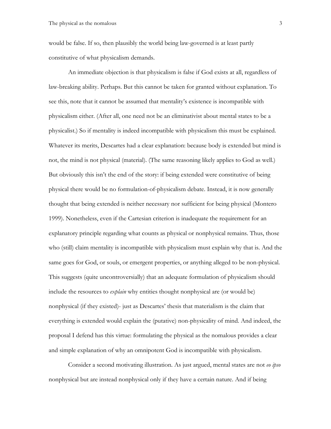would be false. If so, then plausibly the world being law-governed is at least partly constitutive of what physicalism demands.

An immediate objection is that physicalism is false if God exists at all, regardless of law-breaking ability. Perhaps. But this cannot be taken for granted without explanation. To see this, note that it cannot be assumed that mentality's existence is incompatible with physicalism either. (After all, one need not be an eliminativist about mental states to be a physicalist.) So if mentality is indeed incompatible with physicalism this must be explained. Whatever its merits, Descartes had a clear explanation: because body is extended but mind is not, the mind is not physical (material). (The same reasoning likely applies to God as well.) But obviously this isn't the end of the story: if being extended were constitutive of being physical there would be no formulation-of-physicalism debate. Instead, it is now generally thought that being extended is neither necessary nor sufficient for being physical (Montero 1999). Nonetheless, even if the Cartesian criterion is inadequate the requirement for an explanatory principle regarding what counts as physical or nonphysical remains. Thus, those who (still) claim mentality is incompatible with physicalism must explain why that is. And the same goes for God, or souls, or emergent properties, or anything alleged to be non-physical. This suggests (quite uncontroversially) that an adequate formulation of physicalism should include the resources to *explain* why entities thought nonphysical are (or would be) nonphysical (if they existed)- just as Descartes' thesis that materialism is the claim that everything is extended would explain the (putative) non-physicality of mind. And indeed, the proposal I defend has this virtue: formulating the physical as the nomalous provides a clear and simple explanation of why an omnipotent God is incompatible with physicalism.

Consider a second motivating illustration. As just argued, mental states are not *eo ipso* nonphysical but are instead nonphysical only if they have a certain nature. And if being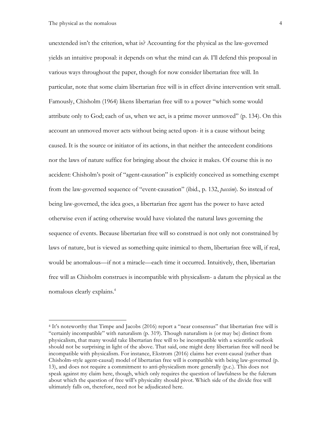unextended isn't the criterion, what is? Accounting for the physical as the law-governed yields an intuitive proposal: it depends on what the mind can *do*. I'll defend this proposal in various ways throughout the paper, though for now consider libertarian free will. In particular, note that some claim libertarian free will is in effect divine intervention writ small. Famously, Chisholm (1964) likens libertarian free will to a power "which some would attribute only to God; each of us, when we act, is a prime mover unmoved" (p. 134). On this account an unmoved mover acts without being acted upon- it is a cause without being caused. It is the source or initiator of its actions, in that neither the antecedent conditions nor the laws of nature suffice for bringing about the choice it makes. Of course this is no accident: Chisholm's posit of "agent-causation" is explicitly conceived as something exempt from the law-governed sequence of "event-causation" (ibid., p. 132, *passim*). So instead of being law-governed, the idea goes, a libertarian free agent has the power to have acted otherwise even if acting otherwise would have violated the natural laws governing the sequence of events. Because libertarian free will so construed is not only not constrained by laws of nature, but is viewed as something quite inimical to them, libertarian free will, if real, would be anomalous—if not a miracle—each time it occurred. Intuitively, then, libertarian free will as Chisholm construes is incompatible with physicalism- a datum the physical as the nomalous clearly explains. 4

<sup>4</sup> It's noteworthy that Timpe and Jacobs (2016) report a "near consensus" that libertarian free will is "certainly incompatible" with naturalism (p. 319). Though naturalism is (or may be) distinct from physicalism, that many would take libertarian free will to be incompatible with a scientific outlook should not be surprising in light of the above. That said, one might deny libertarian free will need be incompatible with physicalism. For instance, Ekstrom (2016) claims her event-causal (rather than Chisholm-style agent-causal) model of libertarian free will is compatible with being law-governed (p. 13), and does not require a commitment to anti-physicalism more generally (p.c.). This does not speak against my claim here, though, which only requires the question of lawfulness be the fulcrum about which the question of free will's physicality should pivot. Which side of the divide free will ultimately falls on, therefore, need not be adjudicated here.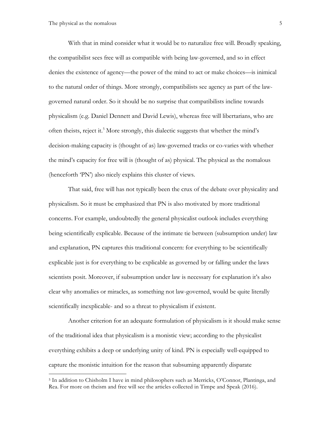With that in mind consider what it would be to naturalize free will. Broadly speaking, the compatibilist sees free will as compatible with being law-governed, and so in effect denies the existence of agency—the power of the mind to act or make choices—is inimical to the natural order of things. More strongly, compatibilists see agency as part of the lawgoverned natural order. So it should be no surprise that compatibilists incline towards physicalism (e.g. Daniel Dennett and David Lewis), whereas free will libertarians, who are often theists, reject it.<sup>5</sup> More strongly, this dialectic suggests that whether the mind's decision-making capacity is (thought of as) law-governed tracks or co-varies with whether the mind's capacity for free will is (thought of as) physical. The physical as the nomalous (henceforth 'PN') also nicely explains this cluster of views.

That said, free will has not typically been the crux of the debate over physicality and physicalism. So it must be emphasized that PN is also motivated by more traditional concerns. For example, undoubtedly the general physicalist outlook includes everything being scientifically explicable. Because of the intimate tie between (subsumption under) law and explanation, PN captures this traditional concern: for everything to be scientifically explicable just is for everything to be explicable as governed by or falling under the laws scientists posit. Moreover, if subsumption under law is necessary for explanation it's also clear why anomalies or miracles, as something not law-governed, would be quite literally scientifically inexplicable- and so a threat to physicalism if existent.

Another criterion for an adequate formulation of physicalism is it should make sense of the traditional idea that physicalism is a monistic view; according to the physicalist everything exhibits a deep or underlying unity of kind. PN is especially well-equipped to capture the monistic intuition for the reason that subsuming apparently disparate

<sup>5</sup> In addition to Chisholm I have in mind philosophers such as Merricks, O'Connor, Plantinga, and Rea. For more on theism and free will see the articles collected in Timpe and Speak (2016).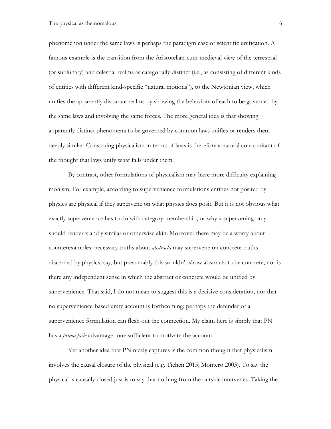phenomenon under the same laws is perhaps the paradigm case of scientific unification. A famous example is the transition from the Aristotelian-cum-medieval view of the terrestrial (or sublunary) and celestial realms as categorially distinct (i.e., as consisting of different kinds of entities with different kind-specific "natural motions"), to the Newtonian view, which unifies the apparently disparate realms by showing the behaviors of each to be governed by the same laws and involving the same forces. The more general idea is that showing apparently distinct phenomena to be governed by common laws unifies or renders them deeply similar. Construing physicalism in terms of laws is therefore a natural concomitant of the thought that laws unify what falls under them.

By contrast, other formulations of physicalism may have more difficulty explaining monism. For example, according to supervenience formulations entities not posited by physics are physical if they supervene on what physics does posit. But it is not obvious what exactly supervenience has to do with category-membership, or why x supervening on y should render x and y similar or otherwise akin. Moreover there may be a worry about counterexamples: necessary truths about *abstracta* may supervene on concrete truths discerned by physics, say, but presumably this wouldn't show abstracta to be concrete, nor is there any independent sense in which the abstract or concrete would be unified by supervenience. That said, I do not mean to suggest this is a decisive consideration, nor that no supervenience-based unity account is forthcoming; perhaps the defender of a supervenience formulation can flesh out the connection. My claim here is simply that PN has a *prima facie* advantage- one sufficient to motivate the account.

Yet another idea that PN nicely captures is the common thought that physicalism involves the causal closure of the physical (e.g. Tiehen 2015; Montero 2003). To say the physical is causally closed just is to say that nothing from the outside intervenes. Taking the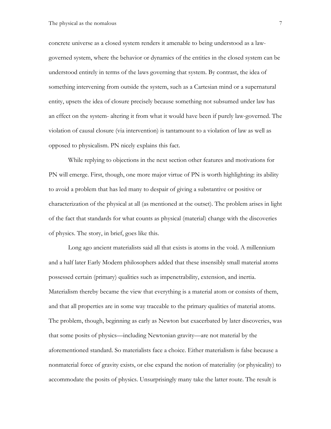concrete universe as a closed system renders it amenable to being understood as a lawgoverned system, where the behavior or dynamics of the entities in the closed system can be understood entirely in terms of the laws governing that system. By contrast, the idea of something intervening from outside the system, such as a Cartesian mind or a supernatural entity, upsets the idea of closure precisely because something not subsumed under law has an effect on the system- altering it from what it would have been if purely law-governed. The violation of causal closure (via intervention) is tantamount to a violation of law as well as opposed to physicalism. PN nicely explains this fact.

While replying to objections in the next section other features and motivations for PN will emerge. First, though, one more major virtue of PN is worth highlighting: its ability to avoid a problem that has led many to despair of giving a substantive or positive or characterization of the physical at all (as mentioned at the outset). The problem arises in light of the fact that standards for what counts as physical (material) change with the discoveries of physics. The story, in brief, goes like this.

Long ago ancient materialists said all that exists is atoms in the void. A millennium and a half later Early Modern philosophers added that these insensibly small material atoms possessed certain (primary) qualities such as impenetrability, extension, and inertia. Materialism thereby became the view that everything is a material atom or consists of them, and that all properties are in some way traceable to the primary qualities of material atoms. The problem, though, beginning as early as Newton but exacerbated by later discoveries, was that some posits of physics—including Newtonian gravity—are not material by the aforementioned standard. So materialists face a choice. Either materialism is false because a nonmaterial force of gravity exists, or else expand the notion of materiality (or physicality) to accommodate the posits of physics. Unsurprisingly many take the latter route. The result is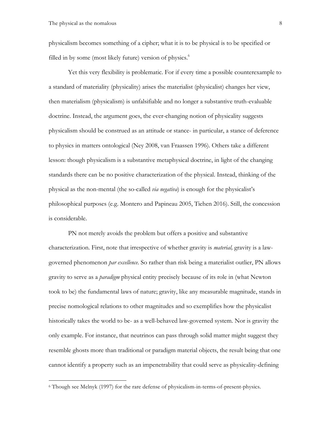physicalism becomes something of a cipher; what it is to be physical is to be specified or filled in by some (most likely future) version of physics.<sup>6</sup>

Yet this very flexibility is problematic. For if every time a possible counterexample to a standard of materiality (physicality) arises the materialist (physicalist) changes her view, then materialism (physicalism) is unfalsifiable and no longer a substantive truth-evaluable doctrine. Instead, the argument goes, the ever-changing notion of physicality suggests physicalism should be construed as an attitude or stance- in particular, a stance of deference to physics in matters ontological (Ney 2008, van Fraassen 1996). Others take a different lesson: though physicalism is a substantive metaphysical doctrine, in light of the changing standards there can be no positive characterization of the physical. Instead, thinking of the physical as the non-mental (the so-called *via negativa*) is enough for the physicalist's philosophical purposes (e.g. Montero and Papineau 2005, Tiehen 2016). Still, the concession is considerable.

PN not merely avoids the problem but offers a positive and substantive characterization. First, note that irrespective of whether gravity is *material,* gravity is a lawgoverned phenomenon *par excellence*. So rather than risk being a materialist outlier, PN allows gravity to serve as a *paradigm* physical entity precisely because of its role in (what Newton took to be) the fundamental laws of nature; gravity, like any measurable magnitude, stands in precise nomological relations to other magnitudes and so exemplifies how the physicalist historically takes the world to be- as a well-behaved law-governed system. Nor is gravity the only example. For instance, that neutrinos can pass through solid matter might suggest they resemble ghosts more than traditional or paradigm material objects, the result being that one cannot identify a property such as an impenetrability that could serve as physicality-defining

<sup>6</sup> Though see Melnyk (1997) for the rare defense of physicalism-in-terms-of-present-physics.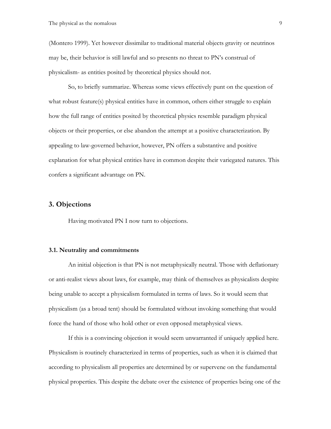(Montero 1999). Yet however dissimilar to traditional material objects gravity or neutrinos may be, their behavior is still lawful and so presents no threat to PN's construal of physicalism- as entities posited by theoretical physics should not.

So, to briefly summarize. Whereas some views effectively punt on the question of what robust feature(s) physical entities have in common, others either struggle to explain how the full range of entities posited by theoretical physics resemble paradigm physical objects or their properties, or else abandon the attempt at a positive characterization. By appealing to law-governed behavior, however, PN offers a substantive and positive explanation for what physical entities have in common despite their variegated natures. This confers a significant advantage on PN.

### **3. Objections**

Having motivated PN I now turn to objections.

#### **3.1. Neutrality and commitments**

An initial objection is that PN is not metaphysically neutral. Those with deflationary or anti-realist views about laws, for example, may think of themselves as physicalists despite being unable to accept a physicalism formulated in terms of laws. So it would seem that physicalism (as a broad tent) should be formulated without invoking something that would force the hand of those who hold other or even opposed metaphysical views.

If this is a convincing objection it would seem unwarranted if uniquely applied here. Physicalism is routinely characterized in terms of properties, such as when it is claimed that according to physicalism all properties are determined by or supervene on the fundamental physical properties. This despite the debate over the existence of properties being one of the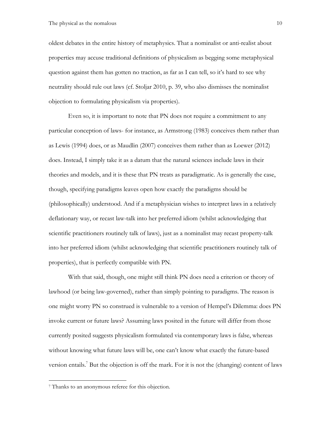oldest debates in the entire history of metaphysics. That a nominalist or anti-realist about properties may accuse traditional definitions of physicalism as begging some metaphysical question against them has gotten no traction, as far as I can tell, so it's hard to see why neutrality should rule out laws (cf. Stoljar 2010, p. 39, who also dismisses the nominalist objection to formulating physicalism via properties).

Even so, it is important to note that PN does not require a commitment to any particular conception of laws- for instance, as Armstrong (1983) conceives them rather than as Lewis (1994) does, or as Maudlin (2007) conceives them rather than as Loewer (2012) does. Instead, I simply take it as a datum that the natural sciences include laws in their theories and models, and it is these that PN treats as paradigmatic. As is generally the case, though, specifying paradigms leaves open how exactly the paradigms should be (philosophically) understood. And if a metaphysician wishes to interpret laws in a relatively deflationary way, or recast law-talk into her preferred idiom (whilst acknowledging that scientific practitioners routinely talk of laws), just as a nominalist may recast property-talk into her preferred idiom (whilst acknowledging that scientific practitioners routinely talk of properties), that is perfectly compatible with PN.

With that said, though, one might still think PN does need a criterion or theory of lawhood (or being law-governed), rather than simply pointing to paradigms. The reason is one might worry PN so construed is vulnerable to a version of Hempel's Dilemma: does PN invoke current or future laws? Assuming laws posited in the future will differ from those currently posited suggests physicalism formulated via contemporary laws is false, whereas without knowing what future laws will be, one can't know what exactly the future-based version entails. <sup>7</sup> But the objection is off the mark. For it is not the (changing) content of laws

 $\overline{a}$ 

<sup>7</sup> Thanks to an anonymous referee for this objection.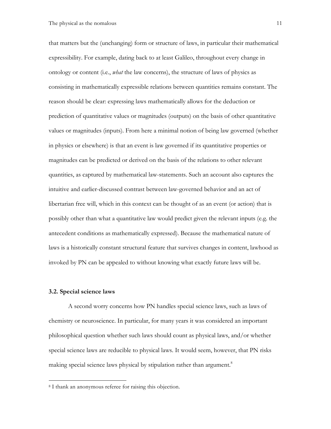that matters but the (unchanging) form or structure of laws, in particular their mathematical expressibility. For example, dating back to at least Galileo, throughout every change in ontology or content (i.e., *what* the law concerns), the structure of laws of physics as consisting in mathematically expressible relations between quantities remains constant. The reason should be clear: expressing laws mathematically allows for the deduction or prediction of quantitative values or magnitudes (outputs) on the basis of other quantitative values or magnitudes (inputs). From here a minimal notion of being law governed (whether in physics or elsewhere) is that an event is law governed if its quantitative properties or magnitudes can be predicted or derived on the basis of the relations to other relevant quantities, as captured by mathematical law-statements. Such an account also captures the intuitive and earlier-discussed contrast between law-governed behavior and an act of libertarian free will, which in this context can be thought of as an event (or action) that is possibly other than what a quantitative law would predict given the relevant inputs (e.g. the antecedent conditions as mathematically expressed). Because the mathematical nature of laws is a historically constant structural feature that survives changes in content, lawhood as invoked by PN can be appealed to without knowing what exactly future laws will be.

#### **3.2. Special science laws**

 $\overline{a}$ 

A second worry concerns how PN handles special science laws, such as laws of chemistry or neuroscience. In particular, for many years it was considered an important philosophical question whether such laws should count as physical laws, and/or whether special science laws are reducible to physical laws. It would seem, however, that PN risks making special science laws physical by stipulation rather than argument.<sup>8</sup>

<sup>8</sup> I thank an anonymous referee for raising this objection.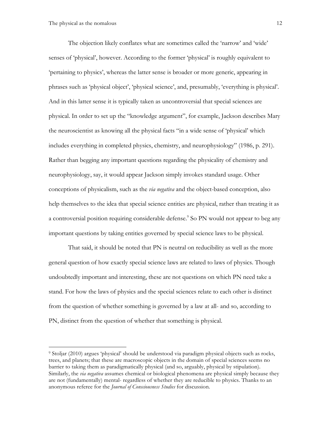The objection likely conflates what are sometimes called the 'narrow' and 'wide' senses of 'physical', however. According to the former 'physical' is roughly equivalent to 'pertaining to physics', whereas the latter sense is broader or more generic, appearing in phrases such as 'physical object', 'physical science', and, presumably, 'everything is physical'. And in this latter sense it is typically taken as uncontroversial that special sciences are physical. In order to set up the "knowledge argument", for example, Jackson describes Mary the neuroscientist as knowing all the physical facts "in a wide sense of 'physical' which includes everything in completed physics, chemistry, and neurophysiology" (1986, p. 291). Rather than begging any important questions regarding the physicality of chemistry and neurophysiology, say, it would appear Jackson simply invokes standard usage. Other conceptions of physicalism, such as the *via negativa* and the object-based conception, also help themselves to the idea that special science entities are physical, rather than treating it as a controversial position requiring considerable defense.<sup>9</sup> So PN would not appear to beg any important questions by taking entities governed by special science laws to be physical.

That said, it should be noted that PN is neutral on reducibility as well as the more general question of how exactly special science laws are related to laws of physics. Though undoubtedly important and interesting, these are not questions on which PN need take a stand. For how the laws of physics and the special sciences relate to each other is distinct from the question of whether something is governed by a law at all- and so, according to PN, distinct from the question of whether that something is physical.

<sup>9</sup> Stoljar (2010) argues 'physical' should be understood via paradigm physical objects such as rocks, trees, and planets; that these are macroscopic objects in the domain of special sciences seems no barrier to taking them as paradigmatically physical (and so, arguably, physical by stipulation). Similarly, the *via negativa* assumes chemical or biological phenomena are physical simply because they are not (fundamentally) mental- regardless of whether they are reducible to physics. Thanks to an anonymous referee for the *Journal of Consciousness Studies* for discussion.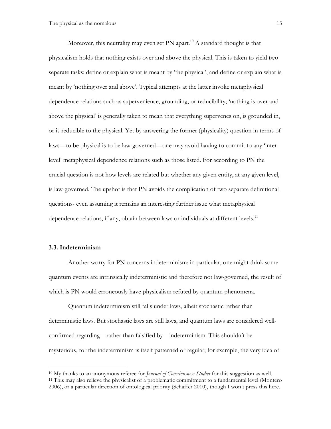Moreover, this neutrality may even set PN apart.<sup>10</sup> A standard thought is that physicalism holds that nothing exists over and above the physical. This is taken to yield two separate tasks: define or explain what is meant by 'the physical', and define or explain what is meant by 'nothing over and above'. Typical attempts at the latter invoke metaphysical dependence relations such as supervenience, grounding, or reducibility; 'nothing is over and above the physical' is generally taken to mean that everything supervenes on, is grounded in, or is reducible to the physical. Yet by answering the former (physicality) question in terms of laws—to be physical is to be law-governed—one may avoid having to commit to any 'interlevel' metaphysical dependence relations such as those listed. For according to PN the crucial question is not how levels are related but whether any given entity, at any given level, is law-governed. The upshot is that PN avoids the complication of two separate definitional questions- even assuming it remains an interesting further issue what metaphysical dependence relations, if any, obtain between laws or individuals at different levels.<sup>11</sup>

#### **3.3. Indeterminism**

 $\overline{a}$ 

Another worry for PN concerns indeterminism: in particular, one might think some quantum events are intrinsically indeterministic and therefore not law-governed, the result of which is PN would erroneously have physicalism refuted by quantum phenomena.

Quantum indeterminism still falls under laws, albeit stochastic rather than deterministic laws. But stochastic laws are still laws, and quantum laws are considered wellconfirmed regarding—rather than falsified by—indeterminism. This shouldn't be mysterious, for the indeterminism is itself patterned or regular; for example, the very idea of

<sup>10</sup> My thanks to an anonymous referee for *Journal of Consciousness Studies* for this suggestion as well. <sup>11</sup> This may also relieve the physicalist of a problematic commitment to a fundamental level (Montero 2006), or a particular direction of ontological priority (Schaffer 2010), though I won't press this here.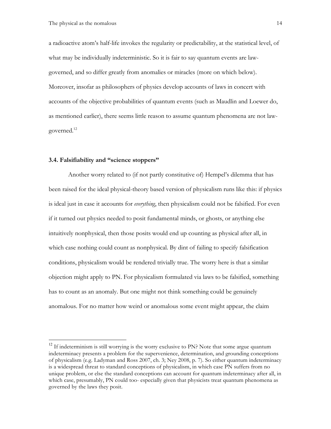a radioactive atom's half-life invokes the regularity or predictability, at the statistical level, of what may be individually indeterministic. So it is fair to say quantum events are lawgoverned, and so differ greatly from anomalies or miracles (more on which below). Moreover, insofar as philosophers of physics develop accounts of laws in concert with accounts of the objective probabilities of quantum events (such as Maudlin and Loewer do, as mentioned earlier), there seems little reason to assume quantum phenomena are not lawgoverned.<sup>12</sup>

#### **3.4. Falsifiability and "science stoppers"**

Another worry related to (if not partly constitutive of) Hempel's dilemma that has been raised for the ideal physical-theory based version of physicalism runs like this: if physics is ideal just in case it accounts for *everything*, then physicalism could not be falsified. For even if it turned out physics needed to posit fundamental minds, or ghosts, or anything else intuitively nonphysical, then those posits would end up counting as physical after all, in which case nothing could count as nonphysical. By dint of failing to specify falsification conditions, physicalism would be rendered trivially true. The worry here is that a similar objection might apply to PN. For physicalism formulated via laws to be falsified, something has to count as an anomaly. But one might not think something could be genuinely anomalous. For no matter how weird or anomalous some event might appear, the claim

<sup>&</sup>lt;sup>12</sup> If indeterminism is still worrying is the worry exclusive to PN? Note that some argue quantum indeterminacy presents a problem for the supervenience, determination, and grounding conceptions of physicalism (e.g. Ladyman and Ross 2007, ch. 3; Ney 2008, p. 7). So either quantum indeterminacy is a widespread threat to standard conceptions of physicalism, in which case PN suffers from no unique problem, or else the standard conceptions can account for quantum indeterminacy after all, in which case, presumably, PN could too- especially given that physicists treat quantum phenomena as governed by the laws they posit.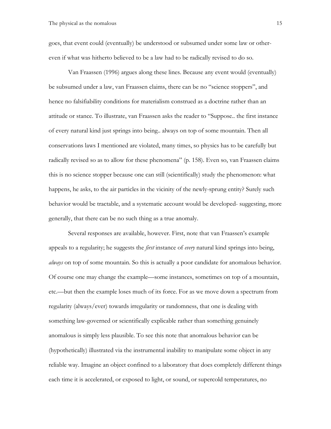goes, that event could (eventually) be understood or subsumed under some law or othereven if what was hitherto believed to be a law had to be radically revised to do so.

Van Fraassen (1996) argues along these lines. Because any event would (eventually) be subsumed under a law, van Fraassen claims, there can be no "science stoppers", and hence no falsifiability conditions for materialism construed as a doctrine rather than an attitude or stance. To illustrate, van Fraassen asks the reader to "Suppose.. the first instance of every natural kind just springs into being.. always on top of some mountain. Then all conservations laws I mentioned are violated, many times, so physics has to be carefully but radically revised so as to allow for these phenomena" (p. 158). Even so, van Fraassen claims this is no science stopper because one can still (scientifically) study the phenomenon: what happens, he asks, to the air particles in the vicinity of the newly-sprung entity? Surely such behavior would be tractable, and a systematic account would be developed- suggesting, more generally, that there can be no such thing as a true anomaly.

Several responses are available, however. First, note that van Fraassen's example appeals to a regularity; he suggests the *first* instance of *every* natural kind springs into being, *always* on top of some mountain. So this is actually a poor candidate for anomalous behavior. Of course one may change the example—some instances, sometimes on top of a mountain, etc.—but then the example loses much of its force. For as we move down a spectrum from regularity (always/ever) towards irregularity or randomness, that one is dealing with something law-governed or scientifically explicable rather than something genuinely anomalous is simply less plausible. To see this note that anomalous behavior can be (hypothetically) illustrated via the instrumental inability to manipulate some object in any reliable way. Imagine an object confined to a laboratory that does completely different things each time it is accelerated, or exposed to light, or sound, or supercold temperatures, no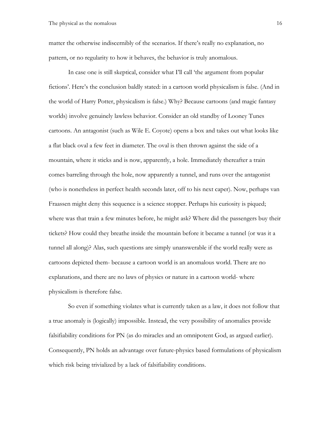matter the otherwise indiscernibly of the scenarios. If there's really no explanation, no pattern, or no regularity to how it behaves, the behavior is truly anomalous.

In case one is still skeptical, consider what I'll call 'the argument from popular fictions'. Here's the conclusion baldly stated: in a cartoon world physicalism is false. (And in the world of Harry Potter, physicalism is false.) Why? Because cartoons (and magic fantasy worlds) involve genuinely lawless behavior. Consider an old standby of Looney Tunes cartoons. An antagonist (such as Wile E. Coyote) opens a box and takes out what looks like a flat black oval a few feet in diameter. The oval is then thrown against the side of a mountain, where it sticks and is now, apparently, a hole. Immediately thereafter a train comes barreling through the hole, now apparently a tunnel, and runs over the antagonist (who is nonetheless in perfect health seconds later, off to his next caper). Now, perhaps van Fraassen might deny this sequence is a science stopper. Perhaps his curiosity is piqued; where was that train a few minutes before, he might ask? Where did the passengers buy their tickets? How could they breathe inside the mountain before it became a tunnel (or was it a tunnel all along)? Alas, such questions are simply unanswerable if the world really were as cartoons depicted them- because a cartoon world is an anomalous world. There are no explanations, and there are no laws of physics or nature in a cartoon world- where physicalism is therefore false.

So even if something violates what is currently taken as a law, it does not follow that a true anomaly is (logically) impossible. Instead, the very possibility of anomalies provide falsifiability conditions for PN (as do miracles and an omnipotent God, as argued earlier). Consequently, PN holds an advantage over future-physics based formulations of physicalism which risk being trivialized by a lack of falsifiability conditions.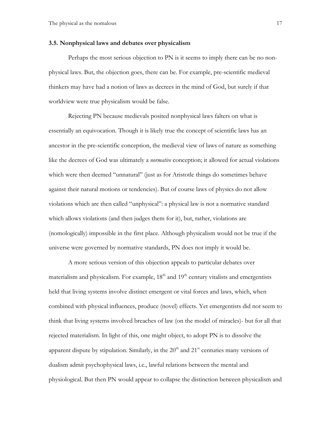#### **3.5. Nonphysical laws and debates over physicalism**

Perhaps the most serious objection to PN is it seems to imply there can be no nonphysical laws. But, the objection goes, there can be. For example, pre-scientific medieval thinkers may have had a notion of laws as decrees in the mind of God, but surely if that worldview were true physicalism would be false.

Rejecting PN because medievals posited nonphysical laws falters on what is essentially an equivocation. Though it is likely true the concept of scientific laws has an ancestor in the pre-scientific conception, the medieval view of laws of nature as something like the decrees of God was ultimately a *normative* conception; it allowed for actual violations which were then deemed "unnatural" (just as for Aristotle things do sometimes behave against their natural motions or tendencies). But of course laws of physics do not allow violations which are then called "unphysical": a physical law is not a normative standard which allows violations (and then judges them for it), but, rather, violations are (nomologically) impossible in the first place. Although physicalism would not be true if the universe were governed by normative standards, PN does not imply it would be.

A more serious version of this objection appeals to particular debates over materialism and physicalism. For example,  $18<sup>th</sup>$  and  $19<sup>th</sup>$  century vitalists and emergentists held that living systems involve distinct emergent or vital forces and laws, which, when combined with physical influences, produce (novel) effects. Yet emergentists did not seem to think that living systems involved breaches of law (on the model of miracles)- but for all that rejected materialism. In light of this, one might object, to adopt PN is to dissolve the apparent dispute by stipulation. Similarly, in the  $20<sup>th</sup>$  and  $21<sup>st</sup>$  centuries many versions of dualism admit psychophysical laws, i.e., lawful relations between the mental and physiological. But then PN would appear to collapse the distinction between physicalism and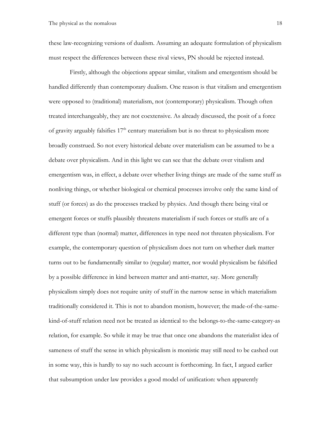these law-recognizing versions of dualism. Assuming an adequate formulation of physicalism must respect the differences between these rival views, PN should be rejected instead.

Firstly, although the objections appear similar, vitalism and emergentism should be handled differently than contemporary dualism. One reason is that vitalism and emergentism were opposed to (traditional) materialism, not (contemporary) physicalism. Though often treated interchangeably, they are not coextensive. As already discussed, the posit of a force of gravity arguably falsifies  $17<sup>th</sup>$  century materialism but is no threat to physicalism more broadly construed. So not every historical debate over materialism can be assumed to be a debate over physicalism. And in this light we can see that the debate over vitalism and emergentism was, in effect, a debate over whether living things are made of the same stuff as nonliving things, or whether biological or chemical processes involve only the same kind of stuff (or forces) as do the processes tracked by physics. And though there being vital or emergent forces or stuffs plausibly threatens materialism if such forces or stuffs are of a different type than (normal) matter, differences in type need not threaten physicalism. For example, the contemporary question of physicalism does not turn on whether dark matter turns out to be fundamentally similar to (regular) matter, nor would physicalism be falsified by a possible difference in kind between matter and anti-matter, say. More generally physicalism simply does not require unity of stuff in the narrow sense in which materialism traditionally considered it. This is not to abandon monism, however; the made-of-the-samekind-of-stuff relation need not be treated as identical to the belongs-to-the-same-category-as relation, for example. So while it may be true that once one abandons the materialist idea of sameness of stuff the sense in which physicalism is monistic may still need to be cashed out in some way, this is hardly to say no such account is forthcoming. In fact, I argued earlier that subsumption under law provides a good model of unification: when apparently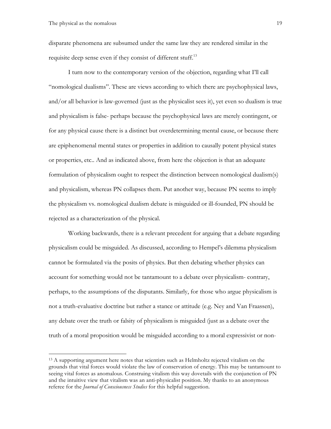disparate phenomena are subsumed under the same law they are rendered similar in the requisite deep sense even if they consist of different stuff.<sup>13</sup>

I turn now to the contemporary version of the objection, regarding what I'll call "nomological dualisms". These are views according to which there are psychophysical laws, and/or all behavior is law-governed (just as the physicalist sees it), yet even so dualism is true and physicalism is false- perhaps because the psychophysical laws are merely contingent, or for any physical cause there is a distinct but overdetermining mental cause, or because there are epiphenomenal mental states or properties in addition to causally potent physical states or properties, etc.. And as indicated above, from here the objection is that an adequate formulation of physicalism ought to respect the distinction between nomological dualism(s) and physicalism, whereas PN collapses them. Put another way, because PN seems to imply the physicalism vs. nomological dualism debate is misguided or ill-founded, PN should be rejected as a characterization of the physical.

Working backwards, there is a relevant precedent for arguing that a debate regarding physicalism could be misguided. As discussed, according to Hempel's dilemma physicalism cannot be formulated via the posits of physics. But then debating whether physics can account for something would not be tantamount to a debate over physicalism- contrary, perhaps, to the assumptions of the disputants. Similarly, for those who argue physicalism is not a truth-evaluative doctrine but rather a stance or attitude (e.g. Ney and Van Fraassen), any debate over the truth or falsity of physicalism is misguided (just as a debate over the truth of a moral proposition would be misguided according to a moral expressivist or non-

<sup>&</sup>lt;sup>13</sup> A supporting argument here notes that scientists such as Helmholtz rejected vitalism on the grounds that vital forces would violate the law of conservation of energy. This may be tantamount to seeing vital forces as anomalous. Construing vitalism this way dovetails with the conjunction of PN and the intuitive view that vitalism was an anti-physicalist position. My thanks to an anonymous referee for the *Journal of Consciousness Studies* for this helpful suggestion.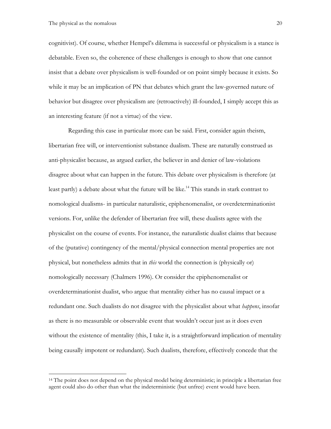cognitivist). Of course, whether Hempel's dilemma is successful or physicalism is a stance is debatable. Even so, the coherence of these challenges is enough to show that one cannot insist that a debate over physicalism is well-founded or on point simply because it exists. So while it may be an implication of PN that debates which grant the law-governed nature of behavior but disagree over physicalism are (retroactively) ill-founded, I simply accept this as an interesting feature (if not a virtue) of the view.

Regarding this case in particular more can be said. First, consider again theism, libertarian free will, or interventionist substance dualism. These are naturally construed as anti-physicalist because, as argued earlier, the believer in and denier of law-violations disagree about what can happen in the future. This debate over physicalism is therefore (at least partly) a debate about what the future will be like. <sup>14</sup> This stands in stark contrast to nomological dualisms- in particular naturalistic, epiphenomenalist, or overdeterminationist versions. For, unlike the defender of libertarian free will, these dualists agree with the physicalist on the course of events. For instance, the naturalistic dualist claims that because of the (putative) contingency of the mental/physical connection mental properties are not physical, but nonetheless admits that in *this* world the connection is (physically or) nomologically necessary (Chalmers 1996). Or consider the epiphenomenalist or overdeterminationist dualist, who argue that mentality either has no causal impact or a redundant one. Such dualists do not disagree with the physicalist about what *happens*, insofar as there is no measurable or observable event that wouldn't occur just as it does even without the existence of mentality (this, I take it, is a straightforward implication of mentality being causally impotent or redundant). Such dualists, therefore, effectively concede that the

<sup>&</sup>lt;sup>14</sup> The point does not depend on the physical model being deterministic; in principle a libertarian free agent could also do other than what the indeterministic (but unfree) event would have been.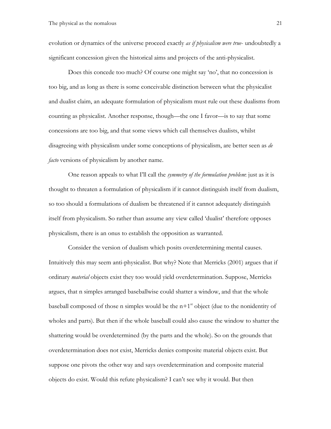evolution or dynamics of the universe proceed exactly *as if physicalism were true*- undoubtedly a significant concession given the historical aims and projects of the anti-physicalist.

Does this concede too much? Of course one might say 'no', that no concession is too big, and as long as there is some conceivable distinction between what the physicalist and dualist claim, an adequate formulation of physicalism must rule out these dualisms from counting as physicalist. Another response, though—the one I favor—is to say that some concessions are too big, and that some views which call themselves dualists, whilst disagreeing with physicalism under some conceptions of physicalism, are better seen as *de facto* versions of physicalism by another name.

One reason appeals to what I'll call the *symmetry of the formulation problem*: just as it is thought to threaten a formulation of physicalism if it cannot distinguish itself from dualism, so too should a formulations of dualism be threatened if it cannot adequately distinguish itself from physicalism. So rather than assume any view called 'dualist' therefore opposes physicalism, there is an onus to establish the opposition as warranted.

Consider the version of dualism which posits overdetermining mental causes. Intuitively this may seem anti-physicalist. But why? Note that Merricks (2001) argues that if ordinary *material* objects exist they too would yield overdetermination. Suppose, Merricks argues, that n simples arranged baseballwise could shatter a window, and that the whole baseball composed of those n simples would be the  $n+1$ <sup>st</sup> object (due to the nonidentity of wholes and parts). But then if the whole baseball could also cause the window to shatter the shattering would be overdetermined (by the parts and the whole). So on the grounds that overdetermination does not exist, Merricks denies composite material objects exist. But suppose one pivots the other way and says overdetermination and composite material objects do exist. Would this refute physicalism? I can't see why it would. But then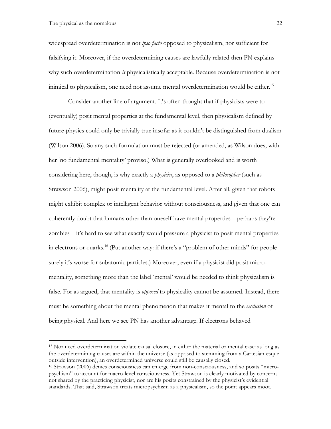widespread overdetermination is not *ipso facto* opposed to physicalism, nor sufficient for falsifying it. Moreover, if the overdetermining causes are lawfully related then PN explains why such overdetermination *is* physicalistically acceptable. Because overdetermination is not inimical to physicalism, one need not assume mental overdetermination would be either.<sup>15</sup>

Consider another line of argument. It's often thought that if physicists were to (eventually) posit mental properties at the fundamental level, then physicalism defined by future-physics could only be trivially true insofar as it couldn't be distinguished from dualism (Wilson 2006). So any such formulation must be rejected (or amended, as Wilson does, with her 'no fundamental mentality' proviso.) What is generally overlooked and is worth considering here, though, is why exactly a *physicist*, as opposed to a *philosopher* (such as Strawson 2006), might posit mentality at the fundamental level. After all, given that robots might exhibit complex or intelligent behavior without consciousness, and given that one can coherently doubt that humans other than oneself have mental properties—perhaps they're zombies—it's hard to see what exactly would pressure a physicist to posit mental properties in electrons or quarks.<sup>16</sup> (Put another way: if there's a "problem of other minds" for people surely it's worse for subatomic particles.) Moreover, even if a physicist did posit micromentality, something more than the label 'mental' would be needed to think physicalism is false. For as argued, that mentality is *opposed* to physicality cannot be assumed. Instead, there must be something about the mental phenomenon that makes it mental to the *exclusion* of being physical. And here we see PN has another advantage. If electrons behaved

<sup>15</sup> Nor need overdetermination violate causal closure, in either the material or mental case: as long as the overdetermining causes are within the universe (as opposed to stemming from a Cartesian-esque outside intervention), an overdetermined universe could still be causally closed.

<sup>16</sup> Strawson (2006) denies consciousness can emerge from non-consciousness, and so posits "micropsychism" to account for macro-level consciousness. Yet Strawson is clearly motivated by concerns not shared by the practicing physicist, nor are his posits constrained by the physicist's evidential standards. That said, Strawson treats micropsychism as a physicalism, so the point appears moot.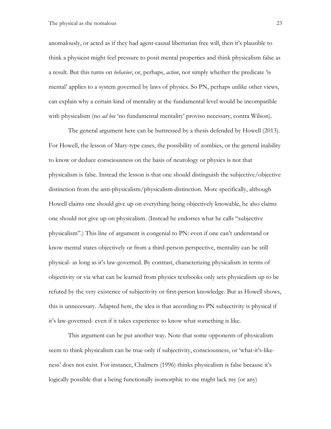anomalously, or acted as if they had agent-causal libertarian free will, then it's plausible to think a physicist might feel pressure to posit mental properties and think physicalism false as a result. But this turns on *behavior*, or, perhaps, *action*, not simply whether the predicate 'is mental' applies to a system governed by laws of physics. So PN, perhaps unlike other views, can explain why a certain kind of mentality at the fundamental level would be incompatible with physicalism (no *ad hoc* 'no fundamental mentality' proviso necessary, contra Wilson).

The general argument here can be buttressed by a thesis defended by Howell (2013). For Howell, the lesson of Mary-type cases, the possibility of zombies, or the general inability to know or deduce consciousness on the basis of neurology or physics is not that physicalism is false. Instead the lesson is that one should distinguish the subjective/objective distinction from the anti-physicalism/physicalism distinction. More specifically, although Howell claims one should give up on everything being objectively knowable, he also claims one should not give up on physicalism. (Instead he endorses what he calls "subjective physicalism".) This line of argument is congenial to PN: even if one can't understand or know mental states objectively or from a third-person perspective, mentality can be still physical- as long as it's law-governed. By contrast, characterizing physicalism in terms of objectivity or via what can be learned from physics textbooks only sets physicalism up to be refuted by the very existence of subjectivity or first-person knowledge. But as Howell shows, this is unnecessary. Adapted here, the idea is that according to PN subjectivity is physical if it's law-governed- even if it takes experience to know what something is like.

This argument can be put another way. Note that some opponents of physicalism seem to think physicalism can be true only if subjectivity, consciousness, or 'what-it's-likeness' does not exist. For instance, Chalmers (1996) thinks physicalism is false because it's logically possible that a being functionally isomorphic to me might lack my (or any)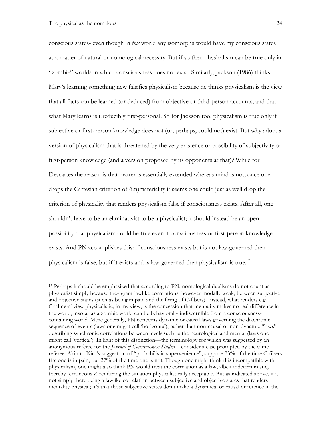conscious states- even though in *this* world any isomorphs would have my conscious states as a matter of natural or nomological necessity. But if so then physicalism can be true only in "zombie" worlds in which consciousness does not exist. Similarly, Jackson (1986) thinks Mary's learning something new falsifies physicalism because he thinks physicalism is the view that all facts can be learned (or deduced) from objective or third-person accounts, and that what Mary learns is irreducibly first-personal. So for Jackson too, physicalism is true only if subjective or first-person knowledge does not (or, perhaps, could not) exist. But why adopt a version of physicalism that is threatened by the very existence or possibility of subjectivity or first-person knowledge (and a version proposed by its opponents at that)? While for Descartes the reason is that matter is essentially extended whereas mind is not, once one drops the Cartesian criterion of (im)materiality it seems one could just as well drop the criterion of physicality that renders physicalism false if consciousness exists. After all, one shouldn't have to be an eliminativist to be a physicalist; it should instead be an open possibility that physicalism could be true even if consciousness or first-person knowledge exists. And PN accomplishes this: if consciousness exists but is not law-governed then physicalism is false, but if it exists and is law-governed then physicalism is true.17

<sup>&</sup>lt;sup>17</sup> Perhaps it should be emphasized that according to PN, nomological dualisms do not count as physicalist simply because they grant lawlike correlations, however modally weak, between subjective and objective states (such as being in pain and the firing of C-fibers). Instead, what renders e.g. Chalmers' view physicalistic, in my view, is the concession that mentality makes no real difference in the world, insofar as a zombie world can be behaviorally indiscernible from a consciousnesscontaining world. More generally, PN concerns dynamic or causal laws governing the diachronic sequence of events (laws one might call 'horizontal), rather than non-causal or non-dynamic "laws" describing synchronic correlations between levels such as the neurological and mental (laws one might call 'vertical'). In light of this distinction—the terminology for which was suggested by an anonymous referee for the *Journal of Consciousness Studies*—consider a case prompted by the same referee. Akin to Kim's suggestion of "probabilistic supervenience", suppose 73% of the time C-fibers fire one is in pain, but 27% of the time one is not. Though one might think this incompatible with physicalism, one might also think PN would treat the correlation as a law, albeit indeterministic, thereby (erroneously) rendering the situation physicalistically acceptable. But as indicated above, it is not simply there being a lawlike correlation between subjective and objective states that renders mentality physical; it's that those subjective states don't make a dynamical or causal difference in the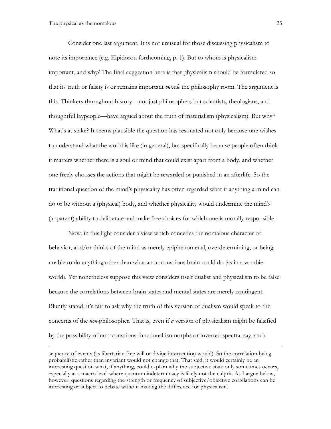Consider one last argument. It is not unusual for those discussing physicalism to note its importance (e.g. Elpidorou forthcoming, p. 1). But to whom is physicalism important, and why? The final suggestion here is that physicalism should be formulated so that its truth or falsity is or remains important *outside* the philosophy room. The argument is this. Thinkers throughout history—not just philosophers but scientists, theologians, and thoughtful laypeople—have argued about the truth of materialism (physicalism). But why? What's at stake? It seems plausible the question has resonated not only because one wishes to understand what the world is like (in general), but specifically because people often think it matters whether there is a soul or mind that could exist apart from a body, and whether one freely chooses the actions that might be rewarded or punished in an afterlife. So the traditional question of the mind's physicality has often regarded what if anything a mind can do or be without a (physical) body, and whether physicality would undermine the mind's (apparent) ability to deliberate and make free choices for which one is morally responsible.

Now, in this light consider a view which concedes the nomalous character of behavior, and/or thinks of the mind as merely epiphenomenal, overdetermining, or being unable to do anything other than what an unconscious brain could do (as in a zombie world). Yet nonetheless suppose this view considers itself dualist and physicalism to be false because the correlations between brain states and mental states are merely contingent. Bluntly stated, it's fair to ask why the truth of this version of dualism would speak to the concerns of the *non-*philosopher. That is, even if *a* version of physicalism might be falsified by the possibility of non-conscious functional isomorphs or inverted spectra, say, such

sequence of events (as libertarian free will or divine intervention would). So the correlation being probabilistic rather than invariant would not change that. That said, it would certainly be an interesting question what, if anything, could explain why the subjective state only sometimes occurs, especially at a macro level where quantum indeterminacy is likely not the culprit. As I argue below, however, questions regarding the strength or frequency of subjective/objective correlations can be interesting or subject to debate without making the difference for physicalism.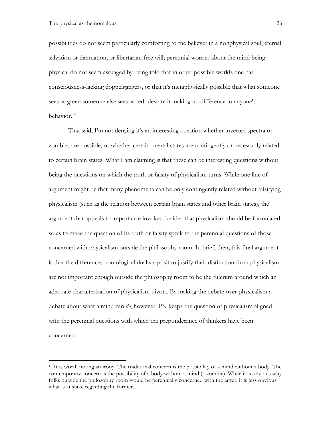possibilities do not seem particularly comforting to the believer in a nonphysical soul, eternal salvation or damnation, or libertarian free will; perennial worries about the mind being physical do not seem assuaged by being told that in other possible worlds one has consciousness-lacking doppelgangers, or that it's metaphysically possible that what someone sees as green someone else sees as red- despite it making no difference to anyone's behavior. 18

That said, I'm not denying it's an interesting question whether inverted spectra or zombies are possible, or whether certain mental states are contingently or necessarily related to certain brain states. What I am claiming is that these can be interesting questions without being the questions on which the truth or falsity of physicalism turns. While one line of argument might be that many phenomena can be only contingently related without falsifying physicalism (such as the relation between certain brain states and other brain states), the argument that appeals to importance invokes the idea that physicalism should be formulated so as to make the question of its truth or falsity speak to the perennial questions of those concerned with physicalism outside the philosophy room. In brief, then, this final argument is that the differences nomological dualists posit to justify their distinction from physicalism are not important enough outside the philosophy room to be the fulcrum around which an adequate characterization of physicalism pivots. By making the debate over physicalism a debate about what a mind can *do*, however, PN keeps the question of physicalism aligned with the perennial questions with which the preponderance of thinkers have been concerned.

<sup>&</sup>lt;sup>18</sup> It is worth noting an irony. The traditional concern is the possibility of a mind without a body. The contemporary concern is the possibility of a body without a mind (a zombie). While it is obvious why folks outside the philosophy room would be perennially concerned with the latter, it is less obvious what is at stake regarding the former.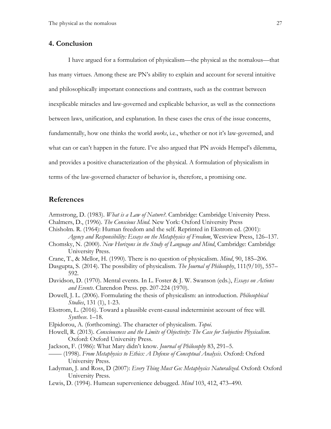## **4. Conclusion**

I have argued for a formulation of physicalism—the physical as the nomalous—that has many virtues. Among these are PN's ability to explain and account for several intuitive and philosophically important connections and contrasts, such as the contrast between inexplicable miracles and law-governed and explicable behavior, as well as the connections between laws, unification, and explanation. In these cases the crux of the issue concerns, fundamentally, how one thinks the world *works*, i.e., whether or not it's law-governed, and what can or can't happen in the future. I've also argued that PN avoids Hempel's dilemma, and provides a positive characterization of the physical. A formulation of physicalism in terms of the law-governed character of behavior is, therefore, a promising one.

## **References**

- Armstrong, D. (1983). *What is a Law of Nature?*. Cambridge: Cambridge University Press.
- Chalmers, D., (1996). *The Conscious Mind*. New York: Oxford University Press
- Chisholm. R. (1964): Human freedom and the self. Reprinted in Ekstrom ed. (2001): *Agency and Responsibility: Essays on the Metaphysics of Freedom*, Westview Press, 126–137.
- Chomsky, N. (2000). *New Horizons in the Study of Language and Mind*, Cambridge: Cambridge University Press.
- Crane, T., & Mellor, H. (1990). There is no question of physicalism. *Mind*, 90, 185–206.
- Dasgupta, S. (2014). The possibility of physicalism. *The Journal of Philosophy*, 111(9/10), 557– 592.
- Davidson, D. (1970). Mental events. In L. Foster & J. W. Swanson (eds.), *Essays on Actions and Events*. Clarendon Press. pp. 207-224 (1970).
- Dowell, J. L. (2006). Formulating the thesis of physicalism: an introduction. *Philosophical Studies*, 131 (1), 1-23.
- Ekstrom, L. (2016). Toward a plausible event-causal indeterminist account of free will. *Synthese*. 1–18.
- Elpidorou, A. (forthcoming). The character of physicalism. *Topoi*.
- Howell, R. (2013). *Consciousness and the Limits of Objectivity: The Case for Subjective Physicalism*. Oxford: Oxford University Press.
- Jackson, F. (1986): What Mary didn't know. *Journal of Philosophy* 83, 291–5.
- —— (1998). *From Metaphysics to Ethics: A Defense of Conceptual Analysis*. Oxford: Oxford University Press.
- Ladyman, J. and Ross, D (2007): *Every Thing Must Go: Metaphysics Naturalized*. Oxford: Oxford University Press.
- Lewis, D. (1994). Humean supervenience debugged. *Mind* 103, 412, 473–490.